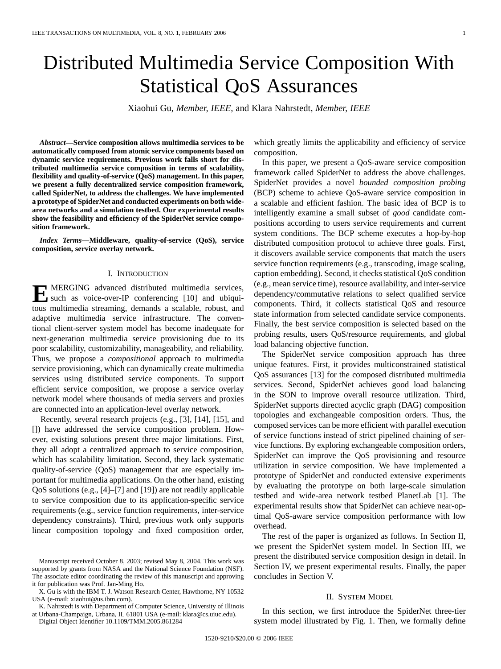# Distributed Multimedia Service Composition With Statistical QoS Assurances

Xiaohui Gu*, Member, IEEE,* and Klara Nahrstedt*, Member, IEEE*

*Abstract—***Service composition allows multimedia services to be automatically composed from atomic service components based on dynamic service requirements. Previous work falls short for distributed multimedia service composition in terms of scalability, flexibility and quality-of-service (QoS) management. In this paper, we present a fully decentralized service composition framework, called SpiderNet, to address the challenges. We have implemented a prototype of SpiderNet and conducted experiments on both widearea networks and a simulation testbed. Our experimental results show the feasibility and efficiency of the SpiderNet service composition framework.**

*Index Terms—***Middleware, quality-of-service (QoS), service composition, service overlay network.**

## I. INTRODUCTION

**E** MERGING advanced distributed multimedia services,<br>such as voice-over-IP conferencing [[10\]](#page-10-0) and ubiquitous multimedia streaming, demands a scalable, robust, and adaptive multimedia service infrastructure. The conventional client-server system model has become inadequate for next-generation multimedia service provisioning due to its poor scalability, customizability, manageability, and reliability. Thus, we propose a *compositional* approach to multimedia service provisioning, which can dynamically create multimedia services using distributed service components. To support efficient service composition, we propose a service overlay network model where thousands of media servers and proxies are connected into an application-level overlay network.

Recently, several research projects (e.g., [[3\]](#page-10-0), [[14\]](#page-10-0), [[15\]](#page-10-0), and []) have addressed the service composition problem. However, existing solutions present three major limitations. First, they all adopt a centralized approach to service composition, which has scalability limitation. Second, they lack systematic quality-of-service (QoS) management that are especially important for multimedia applications. On the other hand, existing QoS solutions (e.g., [\[4](#page-10-0)]–[[7\]](#page-10-0) and [[19\]](#page-10-0)) are not readily applicable to service composition due to its application-specific service requirements (e.g., service function requirements, inter-service dependency constraints). Third, previous work only supports linear composition topology and fixed composition order,

X. Gu is with the IBM T. J. Watson Research Center, Hawthorne, NY 10532 USA (e-mail: xiaohui@us.ibm.com).

K. Nahrstedt is with Department of Computer Science, University of Illinois at Urbana-Champaign, Urbana, IL 61801 USA (e-mail: klara@cs.uiuc.edu). Digital Object Identifier 10.1109/TMM.2005.861284

which greatly limits the applicability and efficiency of service composition.

In this paper, we present a QoS-aware service composition framework called SpiderNet to address the above challenges. SpiderNet provides a novel *bounded composition probing* (BCP) scheme to achieve QoS-aware service composition in a scalable and efficient fashion. The basic idea of BCP is to intelligently examine a small subset of *good* candidate compositions according to users service requirements and current system conditions. The BCP scheme executes a hop-by-hop distributed composition protocol to achieve three goals. First, it discovers available service components that match the users service function requirements (e.g., transcoding, image scaling, caption embedding). Second, it checks statistical QoS condition (e.g., mean service time), resource availability, and inter-service dependency/commutative relations to select qualified service components. Third, it collects statistical QoS and resource state information from selected candidate service components. Finally, the best service composition is selected based on the probing results, users QoS/resource requirements, and global load balancing objective function.

The SpiderNet service composition approach has three unique features. First, it provides multiconstrained statistical QoS assurances [\[13](#page-10-0)] for the composed distributed multimedia services. Second, SpiderNet achieves good load balancing in the SON to improve overall resource utilization. Third, SpiderNet supports directed acyclic graph (DAG) composition topologies and exchangeable composition orders. Thus, the composed services can be more efficient with parallel execution of service functions instead of strict pipelined chaining of service functions. By exploring exchangeable composition orders, SpiderNet can improve the QoS provisioning and resource utilization in service composition. We have implemented a prototype of SpiderNet and conducted extensive experiments by evaluating the prototype on both large-scale simulation testbed and wide-area network testbed PlanetLab [\[1](#page-10-0)]. The experimental results show that SpiderNet can achieve near-optimal QoS-aware service composition performance with low overhead.

The rest of the paper is organized as follows. In Section II, we present the SpiderNet system model. In Section III, we present the distributed service composition design in detail. In Section IV, we present experimental results. Finally, the paper concludes in Section V.

## II. SYSTEM MODEL

In this section, we first introduce the SpiderNet three-tier system model illustrated by Fig. 1. Then, we formally define

Manuscript received October 8, 2003; revised May 8, 2004. This work was supported by grants from NASA and the National Science Foundation (NSF). The associate editor coordinating the review of this manuscript and approving it for publication was Prof. Jan-Ming Ho.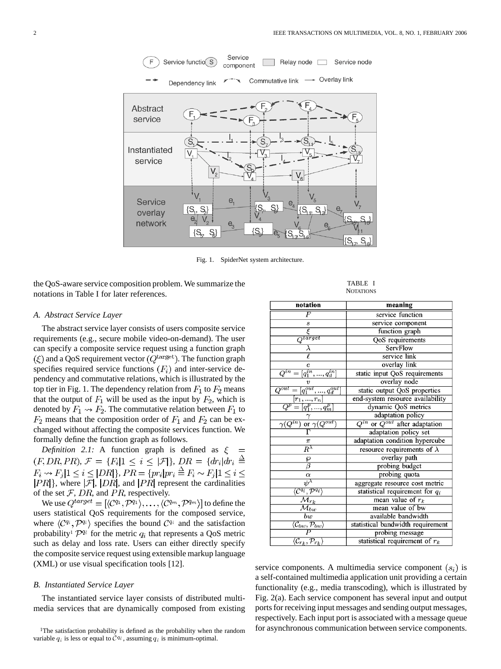

Fig. 1. SpiderNet system architecture.

the QoS-aware service composition problem. We summarize the notations in Table I for later references.

# *A. Abstract Service Layer*

The abstract service layer consists of users composite service requirements (e.g., secure mobile video-on-demand). The user can specify a composite service request using a function graph  $(\xi)$  and a QoS requirement vector  $(Q^{\text{target}})$ . The function graph specifies required service functions  $(F_i)$  and inter-service dependency and commutative relations, which is illustrated by the top tier in Fig. 1. The dependency relation from  $F_1$  to  $F_2$  means that the output of  $F_1$  will be used as the input by  $F_2$ , which is denoted by  $F_1 \rightarrow F_2$ . The commutative relation between  $F_1$  to  $F_2$  means that the composition order of  $F_1$  and  $F_2$  can be exchanged without affecting the composite services function. We formally define the function graph as follows.

*Definition 2.1:* A function graph is defined as  $\xi$  $(F, DR, PR), \mathcal{F} = \{F_i | 1 \leq i \leq |\mathcal{F}|\}, DR = \{dr_i | dr_i \triangleq$  $F_i \rightsquigarrow F_j \vert 1 \leq i \leq \vert DR \vert$ ,  $PR = \{pr_i \vert pr_i \stackrel{\Delta}{=} F_i \sim F_j \vert 1 \leq i \leq \vert pr_i \vert pr_i \vert 1 \leq i \leq \vert pr_i \vert pr_i \vert 1 \leq i \leq \vert pr_i \vert pr_i \vert 1 \leq i \leq \vert pr_i \vert pr_i \vert 1 \leq i \leq \vert pr_i \vert pr_i \vert 1 \leq i \leq \vert pr_i \vert pr_i \vert 1 \leq i \leq \vert pr_i \vert pr_i \vert 1 \leq i \leq \vert pr_i \vert pr_i \vert 1 \leq i \leq \vert pr_i \$  $|PR|\}$ , where  $|\mathcal{F}|$ ,  $|DR|$ , and  $|PR|$  represent the cardinalities of the set  $F$ , DR, and PR, respectively.

We use  $Q^{target} = [\langle C^{q_1}, \mathcal{P}^{q_1} \rangle, \dots, \langle C^{q_m}, \mathcal{P}^{q_m} \rangle]$  to define the users statistical QoS requirements for the composed service, where  $\langle C^{q_i}, \mathcal{P}^{q_i} \rangle$  specifies the bound  $C^{q_i}$  and the satisfaction probability<sup>1</sup>  $\mathcal{P}^{q_i}$  for the metric  $q_i$  that represents a QoS metric such as delay and loss rate. Users can either directly specify the composite service request using extensible markup language (XML) or use visual specification tools [[12\]](#page-10-0).

## *B. Instantiated Service Layer*

The instantiated service layer consists of distributed multimedia services that are dynamically composed from existing

TABLE I **NOTATIONS** 

| notation                                                                           | meaning                                |
|------------------------------------------------------------------------------------|----------------------------------------|
| $_{F}$                                                                             | service function                       |
| S                                                                                  | service component                      |
| $\frac{\xi}{Q^{target}}$                                                           | function graph                         |
|                                                                                    | QoS requirements                       |
|                                                                                    | ServFlow                               |
| l                                                                                  | service link                           |
| e                                                                                  | overlay link                           |
| $q_1^{in}$<br>$\bar{Q}^{in}$<br>$,,q_d^{in}$                                       | static input QoS requirements          |
| 7)                                                                                 | overlay node                           |
| $q_1^{out}$<br>$\overline{\cdots, q^{out}_d}$<br>$\bar{Q^{out}}$                   | static output QoS properties           |
| $r_1, , r_n$                                                                       | end-system resource availability       |
| $[q_1^p,,q_m^p]$                                                                   | dynamic QoS metrics                    |
|                                                                                    | adaptation policy                      |
| or $\gamma\overline{(Q^{out})}$<br>$\gamma(Q^{i\overline{n}}% ,Q^{i\overline{n}})$ | $Q^{in}$ or $Q^{out}$ after adaptation |
|                                                                                    | adaptation policy set                  |
| π                                                                                  | adaptation condition hypercube         |
| $R^{\lambda}$                                                                      | resource requirements of $\lambda$     |
| 0                                                                                  | overlay path                           |
| $\bar{\beta}$                                                                      | probing budget                         |
| $\alpha$                                                                           | probing quota                          |
|                                                                                    | aggregate resource cost metric         |
| $\langle {\cal C}^{q_i}, {\cal P}^{q_i} \rangle$                                   | statistical requirement for $q_i$      |
| $\frac{\overline{\mathcal{M}_{rk}}}{\mathcal{M}_{bw}}$                             | mean value of $r_k$                    |
|                                                                                    | mean value of bw                       |
| $\overline{bw}$                                                                    | available bandwidth                    |
| $\langle \mathcal{C}_{bw}, \mathcal{P}_{bw}\rangle$                                | statistical bandwidth requirement      |
|                                                                                    | probing message                        |
| $\langle\overline{\mathcal{C}_{r_k},\mathcal{P}_{r_k}}\rangle$                     | statistical requirement of $r_k$       |

service components. A multimedia service component  $(s_i)$  is a self-contained multimedia application unit providing a certain functionality (e.g., media transcoding), which is illustrated by Fig. 2(a). Each service component has several input and output ports for receiving input messages and sending output messages, respectively. Each input port is associated with a message queue for asynchronous communication between service components.

<sup>&</sup>lt;sup>1</sup>The satisfaction probability is defined as the probability when the random variable  $q_i$  is less or equal to  $C^{q_i}$ , assuming  $q_i$  is minimum-optimal.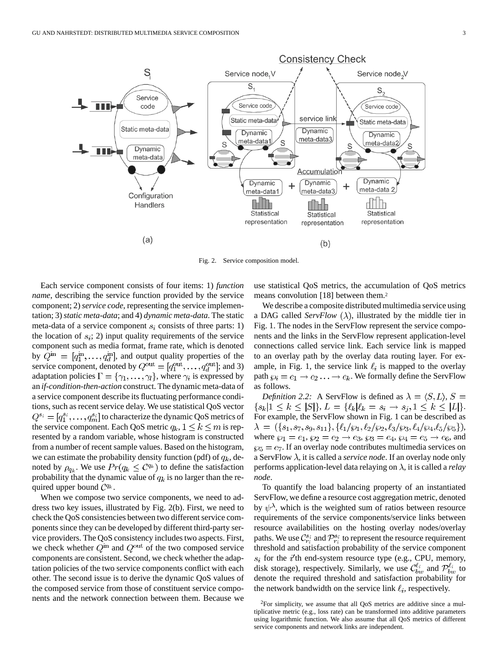

Fig. 2. Service composition model.

Each service component consists of four items: 1) *function name*, describing the service function provided by the service component; 2)*service code*, representing the service implementation; 3)*static meta-data*; and 4) *dynamic meta-data*. The static meta-data of a service component  $s_i$  consists of three parts: 1) the location of  $s_i$ ; 2) input quality requirements of the service component such as media format, frame rate, which is denoted by  $Q^{\mathbf{m}} = [q_1^{\mathbf{m}}, \dots, q_d^{\mathbf{m}}]$ , and output quality properties of the service component, denoted by  $Q^{\text{out}} = [q_1^{\text{out}}, \dots, q_d^{\text{out}}]$ ; and 3) adaptation policies  $\Gamma = {\gamma_1, \dots, \gamma_l}$ , where  $\gamma_i$  is expressed by an *if-condition-then-action* construct. The dynamic meta-data of a service component describe its fluctuating performance conditions, such as recent service delay. We use statistical QoS vector  $Q^{s_i} = [q_1^{s_i}, \ldots, q_m^{s_i}]$  to characterize the dynamic QoS metrics of the service component. Each QoS metric  $q_k$ ,  $1 \leq k \leq m$  is represented by a random variable, whose histogram is constructed from a number of recent sample values. Based on the histogram, we can estimate the probability density function (pdf) of  $q_k$ , denoted by  $\rho_{q_k}$ . We use  $Pr(q_k \leq C^{q_k})$  to define the satisfaction probability that the dynamic value of  $q_k$  is no larger than the required upper bound  $C^{q_k}$ .

When we compose two service components, we need to address two key issues, illustrated by Fig. 2(b). First, we need to check the QoS consistencies between two different service components since they can be developed by different third-party service providers. The QoS consistency includes two aspects. First, we check whether  $Q^{\text{in}}$  and  $Q^{\text{out}}$  of the two composed service components are consistent. Second, we check whether the adaptation policies of the two service components conflict with each other. The second issue is to derive the dynamic QoS values of the composed service from those of constituent service components and the network connection between them. Because we

use statistical QoS metrics, the accumulation of QoS metrics means convolution [\[18](#page-10-0)] between them.<sup>2</sup>

We describe a composite distributed multimedia service using a DAG called *ServFlow*  $(\lambda)$ , illustrated by the middle tier in Fig. 1. The nodes in the ServFlow represent the service components and the links in the ServFlow represent application-level connections called service link. Each service link is mapped to an overlay path by the overlay data routing layer. For example, in Fig. 1, the service link  $\ell_i$  is mapped to the overlay path  $\wp_i = e_1 \rightarrow e_2 \ldots \rightarrow e_k$ . We formally define the ServFlow as follows.

*Definition 2.2:* A ServFlow is defined as  $\lambda = \langle S, L \rangle$ ,  $S =$  $\{s_k|1 \leq k \leq |S|\}, L = \{\ell_k|\ell_k = s_i \to s_j, 1 \leq k \leq |L|\}.$ For example, the ServFlow shown in Fig. 1 can be described as  $\lambda = (\{s_1, s_7, s_9, s_{11}\}, \{\ell_1/\wp_1, \ell_2/\wp_2, \ell_3/\wp_3, \ell_4/\wp_4, \ell_5/\wp_5\}),$ where  $\wp_1 = e_1, \wp_2 = e_2 \rightarrow e_3, \wp_3 = e_4, \wp_4 = e_5 \rightarrow e_6$ , and  $\wp_5 = e_7$ . If an overlay node contributes multimedia services on a ServFlow  $\lambda$ , it is called a *service node*. If an overlay node only performs application-level data relaying on  $\lambda$ , it is called a *relay node*.

To quantify the load balancing property of an instantiated ServFlow, we define a resource cost aggregation metric, denoted by  $\psi^{\lambda}$ , which is the weighted sum of ratios between resource requirements of the service components/service links between resource availabilities on the hosting overlay nodes/overlay paths. We use  $\mathcal{C}_{r_i}^{s_i}$  and  $\mathcal{P}_{r_i}^{s_i}$  to represent the resource requirement threshold and satisfaction probability of the service component  $s_i$  for the i'th end-system resource type (e.g., CPU, memory, disk storage), respectively. Similarly, we use  $\mathcal{C}_{hm}^{\ell_i}$  and  $\mathcal{P}_{hm}^{\ell_i}$  to denote the required threshold and satisfaction probability for the network bandwidth on the service link  $\ell_i$ , respectively.

<sup>2</sup>For simplicity, we assume that all QoS metrics are additive since a multiplicative metric (e.g., loss rate) can be transformed into additive parameters using logarithmic function. We also assume that all QoS metrics of different service components and network links are independent.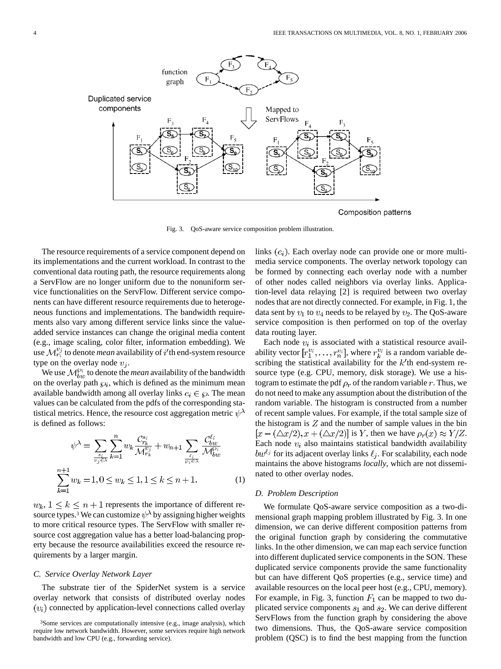

Fig. 3. QoS-aware service composition problem illustration.

The resource requirements of a service component depend on its implementations and the current workload. In contrast to the conventional data routing path, the resource requirements along a ServFlow are no longer uniform due to the nonuniform service functionalities on the ServFlow. Different service components can have different resource requirements due to heterogeneous functions and implementations. The bandwidth requirements also vary among different service links since the valueadded service instances can change the original media content (e.g., image scaling, color filter, information embedding). We use  $\mathcal{M}_{r_i}^{v_j}$  to denote *mean* availability of i'th end-system resource type on the overlay node  $v_j$ .

We use  $\mathcal{M}_{bw}^{\wp_i}$  to denote the *mean* availability of the bandwidth on the overlay path  $\wp_i$ , which is defined as the minimum mean available bandwidth among all overlay links  $e_i \in \wp$ . The mean values can be calculated from the pdfs of the corresponding statistical metrics. Hence, the resource cost aggregation metric  $\psi^{\lambda}$ is defined as follows:

$$
\psi^{\lambda} = \sum_{\frac{s_i}{v_j \in \lambda}} \sum_{k=1}^n w_k \frac{\mathcal{C}_{r_k}^{s_i}}{\mathcal{M}_{r_k}^{v_j}} + w_{n+1} \sum_{\frac{\ell_i}{v_i \in \lambda}} \frac{\mathcal{C}_{bw}^{\ell_i}}{\mathcal{M}_{bw}^{\wp_i}}
$$

$$
\sum_{k=1}^{n+1} w_k = 1, 0 \le w_k \le 1, 1 \le k \le n+1.
$$
 (1)

 $w_k$ ,  $1 \leq k \leq n+1$  represents the importance of different resource types.<sup>3</sup> We can customize  $\psi^{\lambda}$  by assigning higher weights to more critical resource types. The ServFlow with smaller resource cost aggregation value has a better load-balancing property because the resource availabilities exceed the resource requirements by a larger margin.

#### *C. Service Overlay Network Layer*

The substrate tier of the SpiderNet system is a service overlay network that consists of distributed overlay nodes  $(v_i)$  connected by application-level connections called overlay links  $(e_i)$ . Each overlay node can provide one or more multimedia service components. The overlay network topology can be formed by connecting each overlay node with a number of other nodes called neighbors via overlay links. Application-level data relaying [\[2](#page-10-0)] is required between two overlay nodes that are not directly connected. For example, in Fig. 1, the data sent by  $v_1$  to  $v_4$  needs to be relayed by  $v_2$ . The QoS-aware service composition is then performed on top of the overlay data routing layer.

Each node  $v_i$  is associated with a statistical resource availability vector  $[r_1^{v_i}, \ldots, r_n^{v_i}]$ , where  $r_k^{v_i}$  is a random variable describing the statistical availability for the  $k<sup>'</sup>$ th end-system resource type (e.g. CPU, memory, disk storage). We use a histogram to estimate the pdf  $\rho_r$  of the random variable r. Thus, we do not need to make any assumption about the distribution of the random variable. The histogram is constructed from a number of recent sample values. For example, if the total sample size of the histogram is  $Z$  and the number of sample values in the bin  $[x - (\Delta x/2), x + (\Delta x/2)]$  is Y, then we have  $\rho_r(x) \approx Y/Z$ . Each node  $v_i$  also maintains statistical bandwidth availability  $bw^{\ell_j}$  for its adjacent overlay links  $\ell_j$ . For scalability, each node maintains the above histograms *locally*, which are not disseminated to other overlay nodes.

## *D. Problem Description*

We formulate QoS-aware service composition as a two-dimensional graph mapping problem illustrated by Fig. 3. In one dimension, we can derive different composition patterns from the original function graph by considering the commutative links. In the other dimension, we can map each service function into different duplicated service components in the SON. These duplicated service components provide the same functionality but can have different QoS properties (e.g., service time) and available resources on the local peer host (e.g., CPU, memory). For example, in Fig. 3, function  $F_1$  can be mapped to two duplicated service components  $s_1$  and  $s_2$ . We can derive different ServFlows from the function graph by considering the above two dimensions. Thus, the QoS-aware service composition problem (QSC) is to find the best mapping from the function

<sup>3</sup>Some services are computationally intensive (e.g., image analysis), which require low network bandwidth. However, some services require high network bandwidth and low CPU (e.g., forwarding service).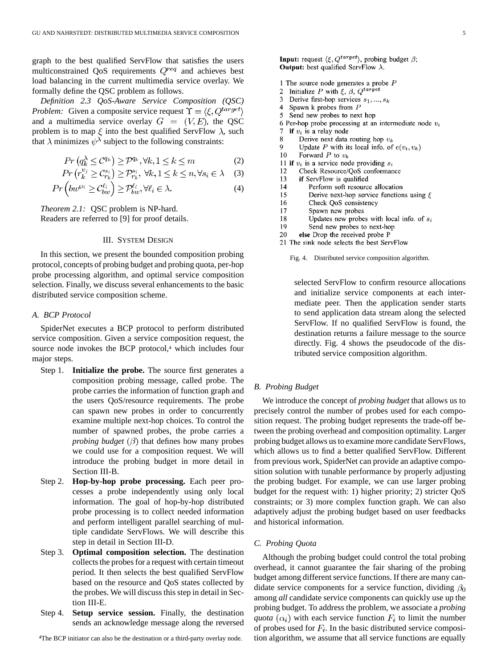graph to the best qualified ServFlow that satisfies the users multiconstrained QoS requirements  $Q^{req}$  and achieves best load balancing in the current multimedia service overlay. We formally define the QSC problem as follows.

*Definition 2.3 QoS-Aware Service Composition (QSC) Problem:* Given a composite service request  $\Upsilon = \langle \xi, Q^{target} \rangle$ and a multimedia service overlay  $G = (V, E)$ , the QSC problem is to map  $\xi$  into the best qualified ServFlow  $\lambda$ , such that  $\lambda$  minimizes  $\psi^{\lambda}$  subject to the following constraints:

$$
Pr\left(q_k^{\lambda} \le C^{q_k}\right) \ge \mathcal{P}^{q_k}, \forall k, 1 \le k \le m \tag{2}
$$

$$
Pr(r_k^{v_j} \geq \mathcal{C}_{r_k}^{s_i}) \geq \mathcal{P}_{r_k}^{s_i}, \forall k, 1 \leq k \leq n, \forall s_i \in \lambda \quad (3)
$$

$$
Pr\left(bw^{\wp_i} \geq \mathcal{C}_{bw}^{\ell_i}\right) \geq \mathcal{P}_{bw}^{\ell_i}, \forall \ell_i \in \lambda.
$$
 (4)

*Theorem 2.1:* QSC problem is NP-hard. Readers are referred to [[9](#page-10-0)] for proof details.

## III. SYSTEM DESIGN

In this section, we present the bounded composition probing protocol, concepts of probing budget and probing quota, per-hop probe processing algorithm, and optimal service composition selection. Finally, we discuss several enhancements to the basic distributed service composition scheme.

## *A. BCP Protocol*

SpiderNet executes a BCP protocol to perform distributed service composition. Given a service composition request, the source node invokes the BCP protocol,<sup>4</sup> which includes four major steps.

- Step 1. **Initialize the probe.** The source first generates a composition probing message, called probe. The probe carries the information of function graph and the users QoS/resource requirements. The probe can spawn new probes in order to concurrently examine multiple next-hop choices. To control the number of spawned probes, the probe carries a *probing budget*  $(\beta)$  that defines how many probes we could use for a composition request. We will introduce the probing budget in more detail in Section III-B.
- Step 2. **Hop-by-hop probe processing.** Each peer processes a probe independently using only local information. The goal of hop-by-hop distributed probe processing is to collect needed information and perform intelligent parallel searching of multiple candidate ServFlows. We will describe this step in detail in Section III-D.
- Step 3. **Optimal composition selection.** The destination collects the probes for a request with certain timeout period. It then selects the best qualified ServFlow based on the resource and QoS states collected by the probes. We will discuss this step in detail in Section III-E.
- Step 4. **Setup service session.** Finally, the destination sends an acknowledge message along the reversed
- 1 The source node generates a probe  $P$ 2 Initialize P with  $\xi$ ,  $\beta$ ,  $Q^{target}$ Derive first-hop services  $s_1, ..., s_k$ Spawn  $k$  probes from  $P$  $5 -$ Send new probes to next hop 6 Per-hop probe processing at an intermediate node  $v_i$ if  $v_i$  is a relay node Derive next data routing hop  $v_k$ Update P with its local info. of  $e(v_i, v_k)$ Forward  $P$  to  $v_k$ 10 11 if  $v_i$  is a service node providing  $s_i$ Check Resource/QoS conformance 12 13 if ServFlow is qualified 14 Perform soft resource allocation 15 Derive next-hop service functions using  $\xi$ 16 Check QoS consistency 17 Spawn new probes 18 Updates new probes with local info. of  $s_i$ 19 Send new probes to next-hop 20 else Drop the received probe P
- 21 The sink node selects the best ServFlow

Fig. 4. Distributed service composition algorithm.

selected ServFlow to confirm resource allocations and initialize service components at each intermediate peer. Then the application sender starts to send application data stream along the selected ServFlow. If no qualified ServFlow is found, the destination returns a failure message to the source directly. Fig. 4 shows the pseudocode of the distributed service composition algorithm.

## *B. Probing Budget*

 $\mathbf{R}$  $\overline{\mathbf{4}}$ 

 $\tau$ 

 $\mathbf{R}$  $\mathbf Q$ 

We introduce the concept of *probing budget* that allows us to precisely control the number of probes used for each composition request. The probing budget represents the trade-off between the probing overhead and composition optimality. Larger probing budget allows us to examine more candidate ServFlows, which allows us to find a better qualified ServFlow. Different from previous work, SpiderNet can provide an adaptive composition solution with tunable performance by properly adjusting the probing budget. For example, we can use larger probing budget for the request with: 1) higher priority; 2) stricter QoS constraints; or 3) more complex function graph. We can also adaptively adjust the probing budget based on user feedbacks and historical information.

## *C. Probing Quota*

Although the probing budget could control the total probing overhead, it cannot guarantee the fair sharing of the probing budget among different service functions. If there are many candidate service components for a service function, dividing  $\beta_0$ among *all* candidate service components can quickly use up the probing budget. To address the problem, we associate a *probing quota*  $(\alpha_i)$  with each service function  $F_i$  to limit the number of probes used for  $F_i$ . In the basic distributed service composition algorithm, we assume that all service functions are equally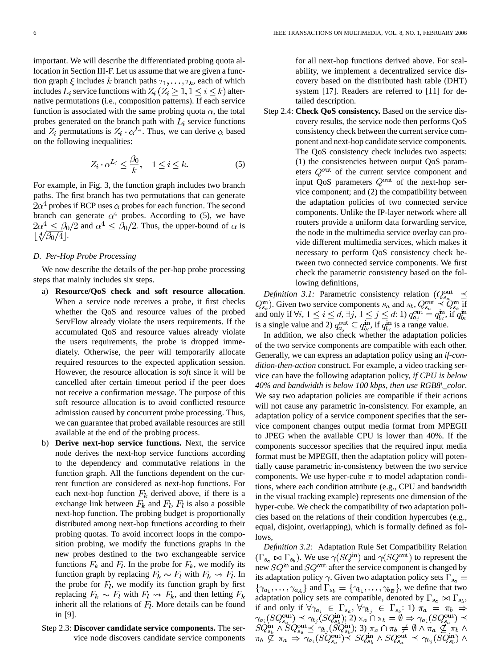important. We will describe the differentiated probing quota allocation in Section III-F. Let us assume that we are given a function graph  $\xi$  includes k branch paths  $\tau_1, \ldots, \tau_k$ , each of which includes  $L_i$  service functions with  $Z_i$  ( $Z_i \geq 1, 1 \leq i \leq k$ ) alternative permutations (i.e., composition patterns). If each service function is associated with the same probing quota  $\alpha$ , the total probes generated on the branch path with  $L<sub>i</sub>$  service functions and  $Z_i$  permutations is  $Z_i \cdot \alpha^{L_i}$ . Thus, we can derive  $\alpha$  based on the following inequalities:

$$
Z_i \cdot \alpha^{L_i} \le \frac{\beta_0}{k}, \quad 1 \le i \le k. \tag{5}
$$

For example, in Fig. 3, the function graph includes two branch paths. The first branch has two permutations that can generate  $2\alpha^4$  probes if BCP uses  $\alpha$  probes for each function. The second branch can generate  $\alpha^4$  probes. According to (5), we have  $2\alpha^4 \le \beta_0/2$  and  $\alpha^4 \le \beta_0/2$ . Thus, the upper-bound of  $\alpha$  is  $\lfloor \sqrt[4]{\beta_0/4} \rfloor$ .

# *D. Per-Hop Probe Processing*

We now describe the details of the per-hop probe processing steps that mainly includes six steps.

- a) **Resource/QoS check and soft resource allocation**. When a service node receives a probe, it first checks whether the QoS and resource values of the probed ServFlow already violate the users requirements. If the accumulated QoS and resource values already violate the users requirements, the probe is dropped immediately. Otherwise, the peer will temporarily allocate required resources to the expected application session. However, the resource allocation is *soft* since it will be cancelled after certain timeout period if the peer does not receive a confirmation message. The purpose of this soft resource allocation is to avoid conflicted resource admission caused by concurrent probe processing. Thus, we can guarantee that probed available resources are still available at the end of the probing process.
- b) **Derive next-hop service functions.** Next, the service node derives the next-hop service functions according to the dependency and commutative relations in the function graph. All the functions dependent on the current function are considered as next-hop functions. For each next-hop function  $F_k$  derived above, if there is a exchange link between  $F_k$  and  $F_l$ ,  $F_l$  is also a possible next-hop function. The probing budget is proportionally distributed among next-hop functions according to their probing quotas. To avoid incorrect loops in the composition probing, we modify the functions graphs in the new probes destined to the two exchangeable service functions  $F_k$  and  $F_l$ . In the probe for  $F_k$ , we modify its function graph by replacing  $F_k \sim F_l$  with  $F_k \rightsquigarrow F_l$ . In the probe for  $F_l$ , we modify its function graph by first replacing  $F_k \sim F_l$  with  $F_l \rightsquigarrow F_k$ , and then letting  $F_k$ inherit all the relations of  $F_l$ . More details can be found in [[9\]](#page-10-0).
- Step 2.3: **Discover candidate service components.** The service node discovers candidate service components

for all next-hop functions derived above. For scalability, we implement a decentralized service discovery based on the distributed hash table (DHT) system [\[17](#page-10-0)]. Readers are referred to [\[11\]](#page-10-0) for detailed description.

Step 2.4: **Check QoS consistency.** Based on the service discovery results, the service node then performs QoS consistency check between the current service component and next-hop candidate service components. The QoS consistency check includes two aspects: (1) the consistencies between output QoS parameters  $Q^{\text{out}}$  of the current service component and input QoS parameters  $Q^{\text{out}}$  of the next-hop service component; and (2) the compatibility between the adaptation policies of two connected service components. Unlike the IP-layer network where all routers provide a uniform data forwarding service, the node in the multimedia service overlay can provide different multimedia services, which makes it necessary to perform QoS consistency check between two connected service components. We first check the parametric consistency based on the following definitions,

*Definition 3.1:* Parametric consistency relation ( $Q_{\text{S}}^{\text{out}} \prec$ . Given two service components  $s_a$  and  $s_b$ ,  $Q_{s_a}^{\text{out}} \preceq Q_{s_b}^{\text{in}}$  if and only if  $\forall i, 1 \leq i \leq d, \exists j, 1 \leq j \leq d: 1$  )  $q_{a,i}^{\text{out}} = q_{b,i}^{\text{in}}$ , if is a single value and 2)  $q_{a_i}^{\text{out}} \subseteq q_{b_i}^{\text{in}}$ , if  $q_{b_i}^{\text{in}}$  is a range value.

In addition, we also check whether the adaptation policies of the two service components are compatible with each other. Generally, we can express an adaptation policy using an *if-condition-then-action* construct. For example, a video tracking service can have the following adaptation policy, *if CPU is below 40% and bandwidth is below 100 kbps, then use RGB8\\_color*. We say two adaptation policies are compatible if their actions will not cause any parametric in-consistency. For example, an adaptation policy of a service component specifies that the service component changes output media format from MPEGII to JPEG when the available CPU is lower than 40%. If the components successor specifies that the required input media format must be MPEGII, then the adaptation policy will potentially cause parametric in-consistency between the two service components. We use hyper-cube  $\pi$  to model adaptation conditions, where each condition attribute (e.g., CPU and bandwidth in the visual tracking example) represents one dimension of the hyper-cube. We check the compatibility of two adaptation policies based on the relations of their condition hypercubes (e.g., equal, disjoint, overlapping), which is formally defined as follows,

*Definition 3.2:* Adaptation Rule Set Compatibility Relation  $(\Gamma_{s_a} \bowtie \Gamma_{s_b})$ . We use  $\gamma(SQ^{\text{in}})$  and  $\gamma(SQ^{\text{out}})$  to represent the new  $SQ^{\text{in}}$  and  $SQ^{\text{out}}$  after the service component is changed by its adaptation policy  $\gamma$ . Given two adaptation policy sets  $\Gamma_{s_a} =$  $\{\gamma_{a_1}, \ldots, \gamma_{a_A}\}\$  and  $\Gamma_{s_b} = \{\gamma_{b_1}, \ldots, \gamma_{b_B}\}\$ , we define that two adaptation policy sets are compatible, denoted by  $\Gamma_{s_a} \bowtie \Gamma_{s_b}$ , if and only if  $\forall \gamma_{a_i} \in \Gamma_{s_a}, \forall \gamma_{b_i} \in \Gamma_{s_b}: 1$ ; 2) ; 3)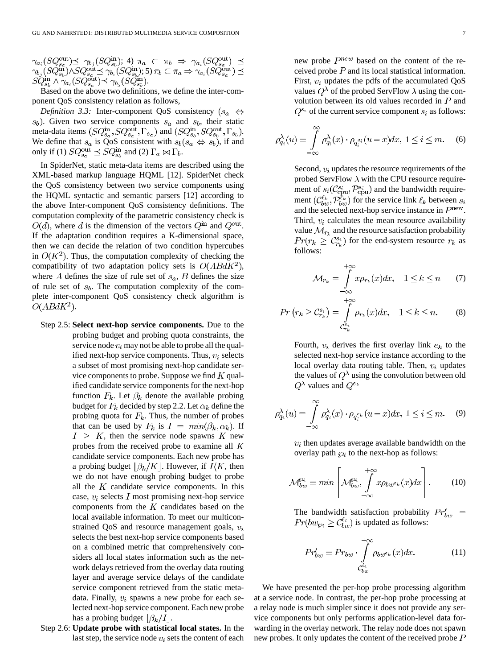; 4) ; 5)  $SG_{s_b}^{\text{in}} \wedge \gamma_{a_i} (SQ_{s_a}^{\text{out}}) \preceq \gamma_{b_i} (SQ_{s_b}^{\text{in}}).$ 

Based on the above two definitions, we define the inter-component QoS consistency relation as follows,

*Definition 3.3:* Inter-component QoS consistency  $(s_a \Leftrightarrow$  $s_b$ ). Given two service components  $s_a$  and  $s_b$ , their static meta-data items  $(SQ_{s_a}^{\text{in}}, SQ_{s_a}^{\text{out}}, \Gamma_{s_a})$  and  $(SQ_{s_b}^{\text{in}}, SQ_{s_b}^{\text{out}}, \Gamma_{s_b})$ . We define that  $s_a$  is QoS consistent with  $s_b(s_a \Leftrightarrow s_b)$ , if and only if (1)  $SQ_{s_a}^{\text{out}} \preceq SQ_{s_b}^{\text{in}}$  and (2)  $\Gamma_a \bowtie \Gamma_b$ .

In SpiderNet, static meta-data items are described using the XML-based markup language HQML [[12\]](#page-10-0). SpiderNet check the QoS consistency between two service components using the HQML syntactic and semantic parsers [[12\]](#page-10-0) according to the above Inter-component QoS consistency definitions. The computation complexity of the parametric consistency check is  $O(d)$ , where d is the dimension of the vectors  $Q^{\text{in}}$  and  $Q^{\text{out}}$ . If the adaptation condition requires a K-dimensional space, then we can decide the relation of two condition hypercubes in  $O(K^2)$ . Thus, the computation complexity of checking the compatibility of two adaptation policy sets is  $O(ABdK^2)$ , where A defines the size of rule set of  $s_a$ , B defines the size of rule set of  $s_b$ . The computation complexity of the complete inter-component QoS consistency check algorithm is  $O(ABdK^2)$ .

- Step 2.5: **Select next-hop service components.** Due to the probing budget and probing quota constraints, the service node  $v_i$  may not be able to probe all the qualified next-hop service components. Thus,  $v_i$  selects a subset of most promising next-hop candidate service components to probe. Suppose we find  $K$  qualified candidate service components for the next-hop function  $F_k$ . Let  $\beta_k$  denote the available probing budget for  $F_k$  decided by step 2.2. Let  $\alpha_k$  define the probing quota for  $F_k$ . Thus, the number of probes that can be used by  $F_k$  is  $I = min(\beta_k, \alpha_k)$ . If  $I \geq K$ , then the service node spawns K new probes from the received probe to examine all  $K$ candidate service components. Each new probe has a probing budget  $|\beta_k/K|$ . However, if  $I\langle K$ , then we do not have enough probing budget to probe all the  $K$  candidate service components. In this case,  $v_i$  selects I most promising next-hop service components from the  $K$  candidates based on the local available information. To meet our multiconstrained QoS and resource management goals,  $v_i$ selects the best next-hop service components based on a combined metric that comprehensively considers all local states information such as the network delays retrieved from the overlay data routing layer and average service delays of the candidate service component retrieved from the static metadata. Finally,  $v_i$  spawns a new probe for each selected next-hop service component. Each new probe has a probing budget  $|\beta_k/I|$ .
- Step 2.6: **Update probe with statistical local states.** In the last step, the service node  $v_i$  sets the content of each

new probe  $P^{new}$  based on the content of the received probe  $P$  and its local statistical information. First,  $v_i$  updates the pdfs of the accumulated QoS values  $Q^{\lambda}$  of the probed ServFlow  $\lambda$  using the convolution between its old values recorded in  $P$  and  $Q^{s_i}$  of the current service component  $s_i$  as follows:

$$
\rho_{q_i}^{\lambda}(u) = \int_{-\infty}^{\infty} \rho_{q_i}^{\lambda}(x) \cdot \rho_{q_i^{s_i}}(u-x) dx, \ 1 \le i \le m. \tag{6}
$$

Second,  $v_i$  updates the resource requirements of the probed ServFlow  $\lambda$  with the CPU resource requirement of  $s_i(\mathcal{C}_{\text{cpu}}^{s_i}, \mathcal{P}_{\text{cpu}}^{s_i})$  and the bandwidth requirement  $(\mathcal{C}_{bw}^{l_k}, \mathcal{P}_{bw}^{l_k})$  for the service link  $l_k$  between  $s_i$ and the selected next-hop service instance in  $P<sup>new</sup>$ . Third,  $v_i$  calculates the mean resource availability value  $\mathcal{M}_{r_k}$  and the resource satisfaction probability  $Pr(r_k \geq C_{r_k}^{s_i})$  for the end-system resource  $r_k$  as follows:

$$
\mathcal{M}_{r_k} = \int_{-\infty}^{+\infty} x \rho_{r_k}(x) dx, \quad 1 \le k \le n \qquad (7)
$$

$$
Pr(r_k \geq C_{r_k}^{s_i}) = \int_{C_{r_k}^{s_i}}^{\infty} \rho_{r_k}(x) dx, \quad 1 \leq k \leq n. \tag{8}
$$

Fourth,  $v_i$  derives the first overlay link  $e_k$  to the selected next-hop service instance according to the local overlay data routing table. Then,  $v_i$  updates the values of  $Q^{\lambda}$  using the convolution between old  $Q^{\lambda}$  values and  $Q^{e_k}$ 

$$
\rho_{q_i}^{\lambda}(u) = \int_{-\infty}^{\infty} \rho_{q_i}^{\lambda}(x) \cdot \rho_{q_i^{e_k}}(u-x) dx, \ 1 \le i \le m. \tag{9}
$$

 $v_i$  then updates average available bandwidth on the overlay path  $\wp_i$  to the next-hop as follows:

$$
\mathcal{M}_{bw}^{\wp_i} = \min \left[ \mathcal{M}_{bw}^{\wp_i}, \int\limits_{-\infty}^{+\infty} x\rho_{bw^{\epsilon_k}}(x)dx \right].
$$
 (10)

The bandwidth satisfaction probability  $Pr'_{bw}$  =  $Pr(bw_{\wp_i} \geq C_{bw}^{\ell_i})$  is updated as follows:

$$
Pr'_{bw} = Pr_{bw} \cdot \int_{C_{bw}^{\epsilon_i}}^{\infty} \rho_{bw^{\epsilon_k}}(x) dx.
$$
 (11)

We have presented the per-hop probe processing algorithm at a service node. In contrast, the per-hop probe processing at a relay node is much simpler since it does not provide any service components but only performs application-level data forwarding in the overlay network. The relay node does not spawn new probes. It only updates the content of the received probe  $P$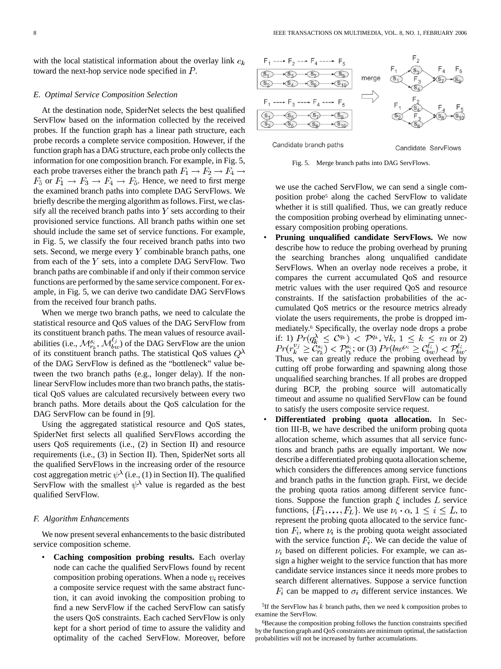with the local statistical information about the overlay link  $e_k$ toward the next-hop service node specified in  $P$ .

#### *E. Optimal Service Composition Selection*

At the destination node, SpiderNet selects the best qualified ServFlow based on the information collected by the received probes. If the function graph has a linear path structure, each probe records a complete service composition. However, if the function graph has a DAG structure, each probe only collects the information for one composition branch. For example, in Fig. 5, each probe traverses either the branch path  $F_1 \rightarrow F_2 \rightarrow F_4 \rightarrow$  $F_5$  or  $F_1 \rightarrow F_3 \rightarrow F_4 \rightarrow F_5$ . Hence, we need to first merge the examined branch paths into complete DAG ServFlows. We briefly describe the merging algorithm as follows. First, we classify all the received branch paths into  $Y$  sets according to their provisioned service functions. All branch paths within one set should include the same set of service functions. For example, in Fig. 5, we classify the four received branch paths into two sets. Second, we merge every  $Y$  combinable branch paths, one from each of the  $Y$  sets, into a complete DAG ServFlow. Two branch paths are combinable if and only if their common service functions are performed by the same service component. For example, in Fig. 5, we can derive two candidate DAG ServFlows from the received four branch paths.

When we merge two branch paths, we need to calculate the statistical resource and QoS values of the DAG ServFlow from its constituent branch paths. The mean values of resource availabilities (i.e.,  $\mathcal{M}_{r_k}^{s_i}$ ,  $\mathcal{M}_{bw}^{\ell_j}$ ) of the DAG ServFlow are the union of its constituent branch paths. The statistical QoS values  $Q^{\lambda}$ of the DAG ServFlow is defined as the "bottleneck" value between the two branch paths (e.g., longer delay). If the nonlinear ServFlow includes more than two branch paths, the statistical QoS values are calculated recursively between every two branch paths. More details about the QoS calculation for the DAG ServFlow can be found in [[9\]](#page-10-0).

Using the aggregated statistical resource and QoS states, SpiderNet first selects all qualified ServFlows according the users QoS requirements (i.e., (2) in Section II) and resource requirements (i.e., (3) in Section II). Then, SpiderNet sorts all the qualified ServFlows in the increasing order of the resource cost aggregation metric  $\psi^{\lambda}$  (i.e., (1) in Section II). The qualified ServFlow with the smallest  $\psi^{\lambda}$  value is regarded as the best qualified ServFlow.

## *F. Algorithm Enhancements*

We now present several enhancements to the basic distributed service composition scheme.

• **Caching composition probing results.** Each overlay node can cache the qualified ServFlows found by recent composition probing operations. When a node  $v_i$  receives a composite service request with the same abstract function, it can avoid invoking the composition probing to find a new ServFlow if the cached ServFlow can satisfy the users QoS constraints. Each cached ServFlow is only kept for a short period of time to assure the validity and optimality of the cached ServFlow. Moreover, before



Candidate ServFlows

Fig. 5. Merge branch paths into DAG ServFlows.

we use the cached ServFlow, we can send a single composition probe5 along the cached ServFlow to validate whether it is still qualified. Thus, we can greatly reduce the composition probing overhead by eliminating unnecessary composition probing operations.

- **Pruning unqualified candidate ServFlows.** We now describe how to reduce the probing overhead by pruning the searching branches along unqualified candidate ServFlows. When an overlay node receives a probe, it compares the current accumulated QoS and resource metric values with the user required QoS and resource constraints. If the satisfaction probabilities of the accumulated QoS metrics or the resource metrics already violate the users requirements, the probe is dropped immediately.6 Specifically, the overlay node drops a probe if: 1)  $Pr(q_k^{\lambda} \leq C^{q_k})$   $\langle \mathcal{P}^{q_k}, \forall k, 1 \leq k \leq m \text{ or } 2 \rangle$ ; or (3)  $Pr(bw^{\wp_i} \geq C_{hm}^{\ell_i}) < \mathcal{P}_{hm}^{\ell_i}$ . Thus, we can greatly reduce the probing overhead by cutting off probe forwarding and spawning along those unqualified searching branches. If all probes are dropped during BCP, the probing source will automatically timeout and assume no qualified ServFlow can be found to satisfy the users composite service request.
- **Differentiated probing quota allocation.** In Section III-B, we have described the uniform probing quota allocation scheme, which assumes that all service functions and branch paths are equally important. We now describe a differentiated probing quota allocation scheme, which considers the differences among service functions and branch paths in the function graph. First, we decide the probing quota ratios among different service functions. Suppose the function graph  $\xi$  includes  $L$  service functions,  $\{F_1, \ldots, F_L\}$ . We use  $\nu_i \cdot \alpha$ ,  $1 \leq i \leq L$ , to represent the probing quota allocated to the service function  $F_i$ , where  $\nu_i$  is the probing quota weight associated with the service function  $F_i$ . We can decide the value of  $\nu_i$  based on different policies. For example, we can assign a higher weight to the service function that has more candidate service instances since it needs more probes to search different alternatives. Suppose a service function  $F_i$  can be mapped to  $\sigma_i$  different service instances. We

<sup>&</sup>lt;sup>5</sup>If the ServFlow has  $k$  branch paths, then we need k composition probes to examine the ServFlow.

<sup>6</sup>Because the composition probing follows the function constraints specified by the function graph and QoS constraints are minimum optimal, the satisfaction probabilities will not be increased by further accumulations.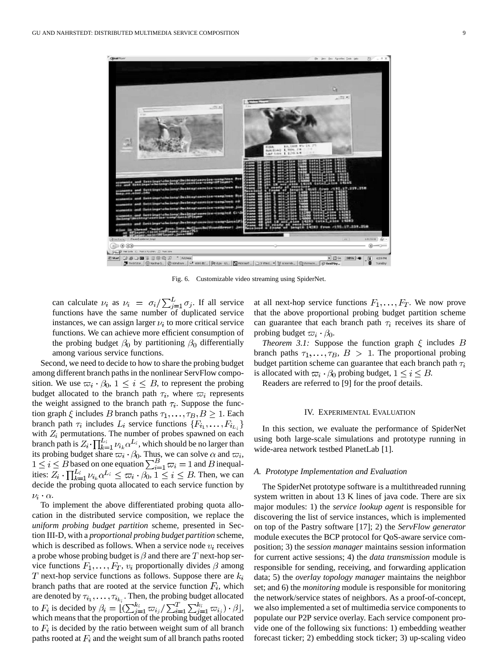

Fig. 6. Customizable video streaming using SpiderNet.

can calculate  $\nu_i$  as  $\nu_i = \sigma_i / \sum_{j=1}^L \sigma_j$ . If all service functions have the same number of duplicated service instances, we can assign larger  $\nu_i$  to more critical service functions. We can achieve more efficient consumption of the probing budget  $\beta_0$  by partitioning  $\beta_0$  differentially among various service functions.

Second, we need to decide to how to share the probing budget among different branch paths in the nonlinear ServFlow composition. We use  $\varpi_i \cdot \beta_0$ ,  $1 \leq i \leq B$ , to represent the probing budget allocated to the branch path  $\tau_i$ , where  $\varpi_i$  represents the weight assigned to the branch path  $\tau_i$ . Suppose the function graph  $\xi$  includes B branch paths  $\tau_1, \ldots, \tau_B, B \geq 1$ . Each branch path  $\tau_i$  includes  $L_i$  service functions  $\{F_{i_1}, \ldots, F_{i_{L_i}}\}$ with  $Z_i$  permutations. The number of probes spawned on each branch path is  $Z_i \cdot \prod_{k=1}^{L_i} \nu_{i_k} \alpha^{L_i}$ , which should be no larger than its probing budget share  $\varpi_i \cdot \beta_0$ . Thus, we can solve  $\alpha$  and  $\varpi_i$ , based on one equation  $\sum_{i=1}^{D} \overline{\omega}_i = 1$  and B inequalities:  $Z_i \cdot \prod_{k=1}^{L_i} \nu_{i_k} \alpha^{L_i} \leq \overline{\omega_i} \cdot \overline{\beta_0}$ ,  $1 \leq i \leq B$ . Then, we can decide the probing quota allocated to each service function by  $\nu_i \cdot \alpha$ .

To implement the above differentiated probing quota allocation in the distributed service composition, we replace the *uniform probing budget partition* scheme, presented in Section III-D, with a *proportional probing budget partition* scheme, which is described as follows. When a service node  $v_i$  receives a probe whose probing budget is  $\beta$  and there are T next-hop service functions  $F_1, \ldots, F_T, v_i$  proportionally divides  $\beta$  among T next-hop service functions as follows. Suppose there are  $k_i$ branch paths that are rooted at the service function  $F_i$ , which are denoted by  $\tau_{i_1},\ldots,\tau_{i_{k_i}}.$  Then, the probing budget allocated to  $F_i$  is decided by  $\beta_i = |(\sum_{i=1}^{\kappa_i} \overline{\omega}_{i_i}/\sum_{i=1}^{\ell_i} \sum_{i=1}^{\kappa_i} \overline{\omega}_{i_i}) \cdot \beta|,$ which means that the proportion of the probing budget allocated to  $F_i$  is decided by the ratio between weight sum of all branch paths rooted at  $F_i$  and the weight sum of all branch paths rooted

at all next-hop service functions  $F_1, \ldots, F_T$ . We now prove that the above proportional probing budget partition scheme can guarantee that each branch path  $\tau_i$  receives its share of probing budget  $\varpi_i \cdot \beta_0$ .

*Theorem 3.1:* Suppose the function graph  $\xi$  includes  $B$ branch paths  $\tau_1, \ldots, \tau_B$ ,  $B > 1$ . The proportional probing budget partition scheme can guarantee that each branch path  $\tau_i$ is allocated with  $\varpi_i \cdot \beta_0$  probing budget,  $1 \leq i \leq B$ .

Readers are referred to [\[9](#page-10-0)] for the proof details.

# IV. EXPERIMENTAL EVALUATION

In this section, we evaluate the performance of SpiderNet using both large-scale simulations and prototype running in wide-area network testbed PlanetLab [[1\]](#page-10-0).

#### *A. Prototype Implementation and Evaluation*

The SpiderNet prototype software is a multithreaded running system written in about 13 K lines of java code. There are six major modules: 1) the *service lookup agent* is responsible for discovering the list of service instances, which is implemented on top of the Pastry software [[17\]](#page-10-0); 2) the *ServFlow generator* module executes the BCP protocol for QoS-aware service composition; 3) the *session manager* maintains session information for current active sessions; 4) the *data transmission* module is responsible for sending, receiving, and forwarding application data; 5) the *overlay topology manager* maintains the neighbor set; and 6) the *monitoring* module is responsible for monitoring the network/service states of neighbors. As a proof-of-concept, we also implemented a set of multimedia service components to populate our P2P service overlay. Each service component provide one of the following six functions: 1) embedding weather forecast ticker; 2) embedding stock ticker; 3) up-scaling video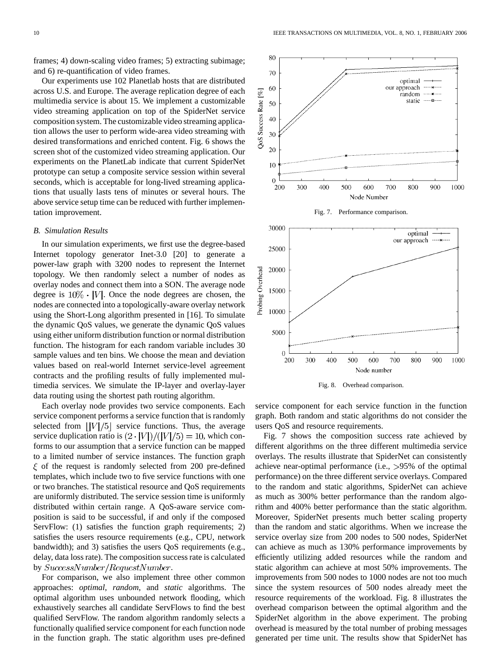frames; 4) down-scaling video frames; 5) extracting subimage; and 6) re-quantification of video frames.

Our experiments use 102 Planetlab hosts that are distributed across U.S. and Europe. The average replication degree of each multimedia service is about 15. We implement a customizable video streaming application on top of the SpiderNet service composition system. The customizable video streaming application allows the user to perform wide-area video streaming with desired transformations and enriched content. Fig. 6 shows the screen shot of the customized video streaming application. Our experiments on the PlanetLab indicate that current SpiderNet prototype can setup a composite service session within several seconds, which is acceptable for long-lived streaming applications that usually lasts tens of minutes or several hours. The above service setup time can be reduced with further implementation improvement.

## *B. Simulation Results*

In our simulation experiments, we first use the degree-based Internet topology generator Inet-3.0 [[20\]](#page-10-0) to generate a power-law graph with 3200 nodes to represent the Internet topology. We then randomly select a number of nodes as overlay nodes and connect them into a SON. The average node degree is  $10\% \cdot |V|$ . Once the node degrees are chosen, the nodes are connected into a topologically-aware overlay network using the Short-Long algorithm presented in [[16\]](#page-10-0). To simulate the dynamic QoS values, we generate the dynamic QoS values using either uniform distribution function or normal distribution function. The histogram for each random variable includes 30 sample values and ten bins. We choose the mean and deviation values based on real-world Internet service-level agreement contracts and the profiling results of fully implemented multimedia services. We simulate the IP-layer and overlay-layer data routing using the shortest path routing algorithm.

Each overlay node provides two service components. Each service component performs a service function that is randomly selected from  $\lfloor |V|/5 \rfloor$  service functions. Thus, the average service duplication ratio is  $(2 \cdot |V|)/(|V|/5) = 10$ , which conforms to our assumption that a service function can be mapped to a limited number of service instances. The function graph  $\xi$  of the request is randomly selected from 200 pre-defined templates, which include two to five service functions with one or two branches. The statistical resource and QoS requirements are uniformly distributed. The service session time is uniformly distributed within certain range. A QoS-aware service composition is said to be successful, if and only if the composed ServFlow: (1) satisfies the function graph requirements; 2) satisfies the users resource requirements (e.g., CPU, network bandwidth); and 3) satisfies the users QoS requirements (e.g., delay, data loss rate). The composition success rate is calculated by  $SuccessNumber/RequestNumber$ .

For comparison, we also implement three other common approaches: *optimal*, *random*, and *static* algorithms. The optimal algorithm uses unbounded network flooding, which exhaustively searches all candidate ServFlows to find the best qualified ServFlow. The random algorithm randomly selects a functionally qualified service component for each function node in the function graph. The static algorithm uses pre-defined





Fig. 8. Overhead comparison.

service component for each service function in the function graph. Both random and static algorithms do not consider the users QoS and resource requirements.

Fig. 7 shows the composition success rate achieved by different algorithms on the three different multimedia service overlays. The results illustrate that SpiderNet can consistently achieve near-optimal performance (i.e.,  $>95\%$  of the optimal performance) on the three different service overlays. Compared to the random and static algorithms, SpiderNet can achieve as much as 300% better performance than the random algorithm and 400% better performance than the static algorithm. Moreover, SpiderNet presents much better scaling property than the random and static algorithms. When we increase the service overlay size from 200 nodes to 500 nodes, SpiderNet can achieve as much as 130% performance improvements by efficiently utilizing added resources while the random and static algorithm can achieve at most 50% improvements. The improvements from 500 nodes to 1000 nodes are not too much since the system resources of 500 nodes already meet the resource requirements of the workload. Fig. 8 illustrates the overhead comparison between the optimal algorithm and the SpiderNet algorithm in the above experiment. The probing overhead is measured by the total number of probing messages generated per time unit. The results show that SpiderNet has